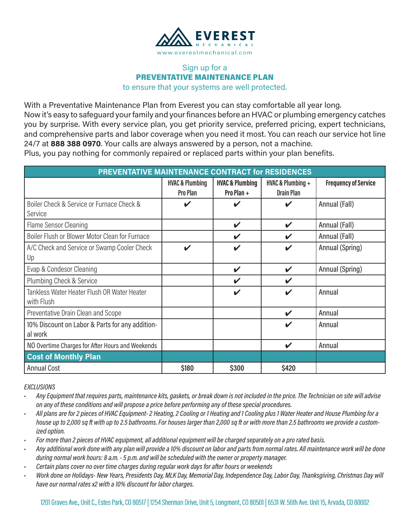

# PREVENTATIVE MAINTENANCE PLAN

| Sign up for a<br><b>HVAC &amp; Plumbing</b><br>Pro Plan<br>$\boldsymbol{\nu}$ | <b>PREVENTATIVE MAINTENANCE PLAN</b><br>to ensure that your systems are well protected.<br>PREVENTATIVE MAINTENANCE CONTRACT for RESIDENCES<br><b>HVAC &amp; Plumbing</b><br>Pro Plan + | With a Preventative Maintenance Plan from Everest you can stay comfortable all year long.<br>24/7 at 888 388 0970. Your calls are always answered by a person, not a machine.<br>Plus, you pay nothing for commonly repaired or replaced parts within your plan benefits.<br>HVAC & Plumbing $+$ | Now it's easy to safeguard your family and your finances before an HVAC or plumbing emergency catches<br>you by surprise. With every service plan, you get priority service, preferred pricing, expert technicians,<br>and comprehensive parts and labor coverage when you need it most. You can reach our service hot line                                                                                                                                                                                                                                                                                                                                                                                                                                                                                                                                                                                                                                                                                                    |
|-------------------------------------------------------------------------------|-----------------------------------------------------------------------------------------------------------------------------------------------------------------------------------------|--------------------------------------------------------------------------------------------------------------------------------------------------------------------------------------------------------------------------------------------------------------------------------------------------|--------------------------------------------------------------------------------------------------------------------------------------------------------------------------------------------------------------------------------------------------------------------------------------------------------------------------------------------------------------------------------------------------------------------------------------------------------------------------------------------------------------------------------------------------------------------------------------------------------------------------------------------------------------------------------------------------------------------------------------------------------------------------------------------------------------------------------------------------------------------------------------------------------------------------------------------------------------------------------------------------------------------------------|
|                                                                               |                                                                                                                                                                                         |                                                                                                                                                                                                                                                                                                  |                                                                                                                                                                                                                                                                                                                                                                                                                                                                                                                                                                                                                                                                                                                                                                                                                                                                                                                                                                                                                                |
|                                                                               |                                                                                                                                                                                         |                                                                                                                                                                                                                                                                                                  |                                                                                                                                                                                                                                                                                                                                                                                                                                                                                                                                                                                                                                                                                                                                                                                                                                                                                                                                                                                                                                |
|                                                                               |                                                                                                                                                                                         |                                                                                                                                                                                                                                                                                                  |                                                                                                                                                                                                                                                                                                                                                                                                                                                                                                                                                                                                                                                                                                                                                                                                                                                                                                                                                                                                                                |
|                                                                               |                                                                                                                                                                                         |                                                                                                                                                                                                                                                                                                  |                                                                                                                                                                                                                                                                                                                                                                                                                                                                                                                                                                                                                                                                                                                                                                                                                                                                                                                                                                                                                                |
|                                                                               |                                                                                                                                                                                         |                                                                                                                                                                                                                                                                                                  |                                                                                                                                                                                                                                                                                                                                                                                                                                                                                                                                                                                                                                                                                                                                                                                                                                                                                                                                                                                                                                |
|                                                                               |                                                                                                                                                                                         |                                                                                                                                                                                                                                                                                                  |                                                                                                                                                                                                                                                                                                                                                                                                                                                                                                                                                                                                                                                                                                                                                                                                                                                                                                                                                                                                                                |
|                                                                               |                                                                                                                                                                                         | <b>Drain Plan</b>                                                                                                                                                                                                                                                                                | <b>Frequency of Service</b>                                                                                                                                                                                                                                                                                                                                                                                                                                                                                                                                                                                                                                                                                                                                                                                                                                                                                                                                                                                                    |
|                                                                               | V                                                                                                                                                                                       | $\boldsymbol{\mathcal{U}}$                                                                                                                                                                                                                                                                       | Annual (Fall)                                                                                                                                                                                                                                                                                                                                                                                                                                                                                                                                                                                                                                                                                                                                                                                                                                                                                                                                                                                                                  |
|                                                                               | V                                                                                                                                                                                       | $\checkmark$                                                                                                                                                                                                                                                                                     | Annual (Fall)                                                                                                                                                                                                                                                                                                                                                                                                                                                                                                                                                                                                                                                                                                                                                                                                                                                                                                                                                                                                                  |
|                                                                               | V                                                                                                                                                                                       | $\mathbf v$                                                                                                                                                                                                                                                                                      | Annual (Fall)                                                                                                                                                                                                                                                                                                                                                                                                                                                                                                                                                                                                                                                                                                                                                                                                                                                                                                                                                                                                                  |
| V                                                                             | V                                                                                                                                                                                       | $\boldsymbol{\mathcal{U}}$                                                                                                                                                                                                                                                                       | Annual (Spring)                                                                                                                                                                                                                                                                                                                                                                                                                                                                                                                                                                                                                                                                                                                                                                                                                                                                                                                                                                                                                |
|                                                                               | V                                                                                                                                                                                       | $\boldsymbol{\mathcal{U}}$                                                                                                                                                                                                                                                                       | Annual (Spring)                                                                                                                                                                                                                                                                                                                                                                                                                                                                                                                                                                                                                                                                                                                                                                                                                                                                                                                                                                                                                |
|                                                                               | V                                                                                                                                                                                       | $\boldsymbol{\mathcal{U}}$                                                                                                                                                                                                                                                                       |                                                                                                                                                                                                                                                                                                                                                                                                                                                                                                                                                                                                                                                                                                                                                                                                                                                                                                                                                                                                                                |
|                                                                               | ✔                                                                                                                                                                                       | $\boldsymbol{\mathcal{U}}$                                                                                                                                                                                                                                                                       | Annual                                                                                                                                                                                                                                                                                                                                                                                                                                                                                                                                                                                                                                                                                                                                                                                                                                                                                                                                                                                                                         |
|                                                                               |                                                                                                                                                                                         | $\checkmark$                                                                                                                                                                                                                                                                                     | Annual                                                                                                                                                                                                                                                                                                                                                                                                                                                                                                                                                                                                                                                                                                                                                                                                                                                                                                                                                                                                                         |
|                                                                               |                                                                                                                                                                                         | $\boldsymbol{\mathcal{U}}$                                                                                                                                                                                                                                                                       | Annual                                                                                                                                                                                                                                                                                                                                                                                                                                                                                                                                                                                                                                                                                                                                                                                                                                                                                                                                                                                                                         |
|                                                                               |                                                                                                                                                                                         | V                                                                                                                                                                                                                                                                                                | Annual                                                                                                                                                                                                                                                                                                                                                                                                                                                                                                                                                                                                                                                                                                                                                                                                                                                                                                                                                                                                                         |
|                                                                               |                                                                                                                                                                                         |                                                                                                                                                                                                                                                                                                  |                                                                                                                                                                                                                                                                                                                                                                                                                                                                                                                                                                                                                                                                                                                                                                                                                                                                                                                                                                                                                                |
| \$180                                                                         | \$300                                                                                                                                                                                   | \$420                                                                                                                                                                                                                                                                                            |                                                                                                                                                                                                                                                                                                                                                                                                                                                                                                                                                                                                                                                                                                                                                                                                                                                                                                                                                                                                                                |
| have our normal rates x2 with a 10% discount for labor charges.               |                                                                                                                                                                                         |                                                                                                                                                                                                                                                                                                  | Work done on Holidays- New Years, Presidents Day, MLK Day, Memorial Day, Independence Day, Labor Day, Thanksgiving, Christmas Day will                                                                                                                                                                                                                                                                                                                                                                                                                                                                                                                                                                                                                                                                                                                                                                                                                                                                                         |
|                                                                               |                                                                                                                                                                                         |                                                                                                                                                                                                                                                                                                  | Any Equipment that requires parts, maintenance kits, gaskets, or break down is not included in the price. The Technician on site will advise<br>on any of these conditions and will propose a price before performing any of these special procedures.<br>All plans are for 2 pieces of HVAC Equipment- 2 Heating, 2 Cooling or 1 Heating and 1 Cooling plus 1 Water Heater and House Plumbing for a<br>house up to 2,000 sq ft with up to 2.5 bathrooms. For houses larger than 2,000 sq ft or with more than 2.5 bathrooms we provide a custom-<br>For more than 2 pieces of HVAC equipment, all additional equipment will be charged separately on a pro rated basis.<br>Any additional work done with any plan will provide a 10% discount on labor and parts from normal rates. All maintenance work will be done<br>during normal work hours: 8 a.m. - 5 p.m. and will be scheduled with the owner or property manager.<br>Certain plans cover no over time charges during regular work days for after hours or weekends |

#### **EXCLUSIONS**

- Any Equipment that requires parts, maintenance kits, gaskets, or break down is not included in the price. The Technician on site will advise on any of these conditions and will propose a price before performing any of these special procedures.
- All plans are for 2 pieces of HVAC Equipment-2 Heating, 2 Cooling or 1 Heating and 1 Cooling plus 1 Water Heater and House Plumbing for a house up to 2,000 sq ft with up to 2.5 bathrooms. For houses larger than 2,000 sq ft or with more than 2.5 bathrooms we provide a customized option.
- For more than 2 pieces of HVAC equipment, all additional equipment will be charged separately on a pro rated basis.
- Any additional work done with any plan will provide a 10% discount on labor and parts from normal rates. All maintenance work will be done during normal work hours: 8 a.m. - 5 p.m. and will be scheduled with the owner or property manager.
- Certain plans cover no over time charges during regular work days for after hours or weekends
- Work done on Holidays-New Years, Presidents Day, MLK Day, Memorial Day, Independence Day, Labor Day, Thanksgiving, Christmas Day will have our normal rates x2 with a 10% discount for labor charges.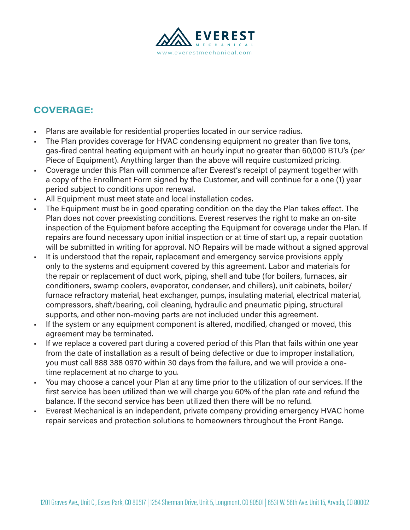

# COVERAGE:

- Plans are available for residential properties located in our service radius.
- The Plan provides coverage for HVAC condensing equipment no greater than five tons, gas-fired central heating equipment with an hourly input no greater than 60,000 BTU's (per Piece of Equipment). Anything larger than the above will require customized pricing.
- Coverage under this Plan will commence after Everest's receipt of payment together with a copy of the Enrollment Form signed by the Customer, and will continue for a one (1) year period subject to conditions upon renewal.
- All Equipment must meet state and local installation codes.
- The Equipment must be in good operating condition on the day the Plan takes effect. The Plan does not cover preexisting conditions. Everest reserves the right to make an on-site inspection of the Equipment before accepting the Equipment for coverage under the Plan. If repairs are found necessary upon initial inspection or at time of start up, a repair quotation will be submitted in writing for approval. NO Repairs will be made without a signed approval
- It is understood that the repair, replacement and emergency service provisions apply only to the systems and equipment covered by this agreement. Labor and materials for the repair or replacement of duct work, piping, shell and tube (for boilers, furnaces, air conditioners, swamp coolers, evaporator, condenser, and chillers), unit cabinets, boiler/ furnace refractory material, heat exchanger, pumps, insulating material, electrical material, compressors, shaft/bearing, coil cleaning, hydraulic and pneumatic piping, structural supports, and other non-moving parts are not included under this agreement.
- If the system or any equipment component is altered, modified, changed or moved, this agreement may be terminated.
- If we replace a covered part during a covered period of this Plan that fails within one year from the date of installation as a result of being defective or due to improper installation, you must call 888 388 0970 within 30 days from the failure, and we will provide a onetime replacement at no charge to you.
- You may choose a cancel your Plan at any time prior to the utilization of our services. If the first service has been utilized than we will charge you 60% of the plan rate and refund the balance. If the second service has been utilized then there will be no refund.
- Everest Mechanical is an independent, private company providing emergency HVAC home repair services and protection solutions to homeowners throughout the Front Range.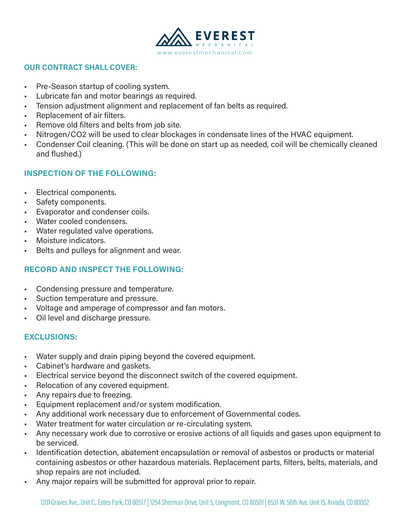

#### OUR CONTRACT SHALL COVER:

- Pre-Season startup of cooling system.
- Lubricate fan and motor bearings as required.
- Tension adjustment alignment and replacement of fan belts as required.
- Replacement of air filters.
- Remove old filters and belts from job site.
- Nitrogen/CO2 will be used to clear blockages in condensate lines of the HVAC equipment.
- Condenser Coil cleaning. (This will be done on start up as needed, coil will be chemically cleaned and flushed.)

## INSPECTION OF THE FOLLOWING:

- Electrical components.
- Safety components.
- Evaporator and condenser coils.
- Water cooled condensers.
- Water regulated valve operations.
- Moisture indicators.
- Belts and pulleys for alignment and wear.

# RECORD AND INSPECT THE FOLLOWING:

- Condensing pressure and temperature.
- Suction temperature and pressure.
- Voltage and amperage of compressor and fan motors.
- Oil level and discharge pressure.

### EXCLUSIONS:

- Water supply and drain piping beyond the covered equipment.
- Cabinet's hardware and gaskets.
- Electrical service beyond the disconnect switch of the covered equipment.
- Relocation of any covered equipment.
- Any repairs due to freezing.
- Equipment replacement and/or system modification.
- Any additional work necessary due to enforcement of Governmental codes.
- Water treatment for water circulation or re-circulating system.
- Any necessary work due to corrosive or erosive actions of all liquids and gases upon equipment to be serviced.
- Identification detection, abatement encapsulation or removal of asbestos or products or material containing asbestos or other hazardous materials. Replacement parts, filters, belts, materials, and shop repairs are not included.
- Any major repairs will be submitted for approval prior to repair.